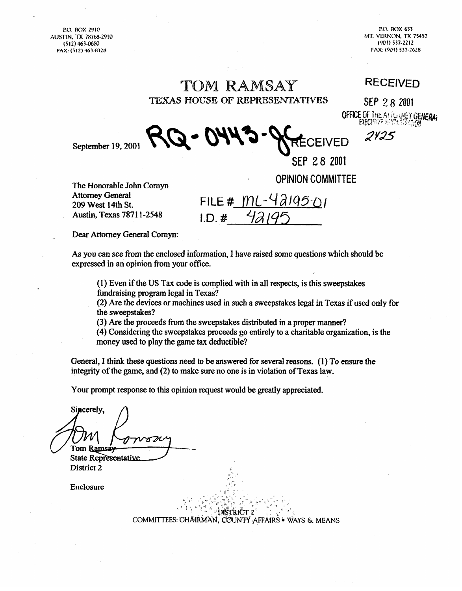AUSTIN, 'IX 7876!3-2910 **M-K VEHKON, TX 75457** 

**P.O. BOX 2910 P.O. BOX 633 (512) 4h3-@6W (9123) 537-2212 FAX: (512) 463-8328 FAX: (903) 537-2628** 

# TOM RAMSAY TEXAS HOUSE OF REPRESENTATIVES

**RECEIVED** 

SEP 28 2001 **OFFICE OF THE ALTERNATION GENERAL** 

2425

EIVED

September 19, 2001

The HonorabIe John Comyn Attorney General **209** west 14tb St. Austin, Texas 787 1 I-2548

 $FILE # MU-42195-01$  $I.D.$ #

**OPINION COMMITTEE** 

SEP 28 2001

Dear Attorney General Comyn:

As you can see from the enclosed information, I have raised some questions which should be expressed in an opinion from your office.

(1) Even if the US Tax code is complied with in all respects, is this sweepstakes fundraising program legal in Texas?

(2) Are the devices or machines used in such a sweepstakes legal in Texas if used only for the sweepstakes?

(3) Are the proceeds from the sweepstakes distributed in a proper manner?

(4) Considering the sweepstakes proceeds go entirely to a charitable organization, is the money used to play the game tax deductible?

General, I think these questions need to be answered for several reasons. (1) To ensure the integrity of the game, and (2) to make sure no one is in violation of Texas law.

Your prompt response to this opinion request would be greatly appreciated.

Sincerely.  $\pi$ M Tom Ramsay

**State Representative** District 2

Enclosure

DISTRICT 2 COMMITTEES: CHAIRMAN, COUNTY AFFAIRS . WAYS & MEANS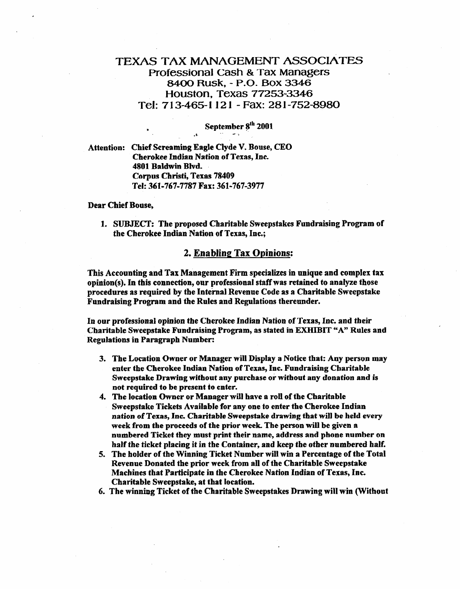# **TEXAS TAX MANAGEMENT ASSOCIATES Professional Cash & Tax Managers 8400 Rusk, - P-0. Box 3346 Houston, Texas 77253-3346 Tel: 713-465-I I2 1 - Fax: 281-752-8980**

# **September pth 2001 .1. .' d-.**

**Attention: Chief Screaming Eagle Clyde V. Bouse, CEO Cherokee Indian Nation of Texas, Inc. 4801 Baldwin Blvd. Corpus Cbristi, Texas 78409 Tel: 361-767-7787 Fax: 341-767-3977** 

#### **Dear Chief Bonse,**

**1. SUBJECT: The proposed Charitable Sweepstakes Fundraising Program of the Cherokee Indian Nation of Texas, Inc.;** 

### **2. Enabling Tax** Opinions:

**This Accounting and Tax Management Firm specializes in unique and complex tax**  opinion(s). In this connection, our professional staff was retained to analyze those **procedures as required by the Internal Revenue Code as a Charitable Sweepstake Fundraising Program and the Rules and Regulations thereunder.** 

**In** our **professional opinion the Cherokee Indian Nation of Texas, Inc. and their Charitable Sweepstake Fundraising Program, as stated in EXHIBIT "A\* Rules and Regulations in Paragraph Number:** 

- **3. The Location** Owner **or Manager will Display a Notice that: Any person may enter the Cherokee Indian Nation of Texas, Inc. Fundraisiug Charitable Sweepstake Drawing without any purchase or without any donation and is not required to be present to enter.**
- **4. The location Owner or Manager will have a roll of tbe Charitable Sweepstake Tickets Available for any one to enter the Cherokee Indian nation of Texas, Inc. Charitable Sweepstake drawing that will be held every week from the proceeds of the prior week. The person will be given a numbered Ticket they must print their name, address and phone number on half the ticket placing it in the Container, and keep the other numbered half.**
- **5. The holder of the Winning Ticket Number will win a Percentage of the Total Revenue Donated the prior week from all of the Charitable Sweepstake Machines that Participate in the Cherokee Nation Indian of Texas, Inc. Charitable Sweepstake, at that location.**
- **6. The winniug Ticket of the Charitable Sweepstakes Drawing will win (Without**